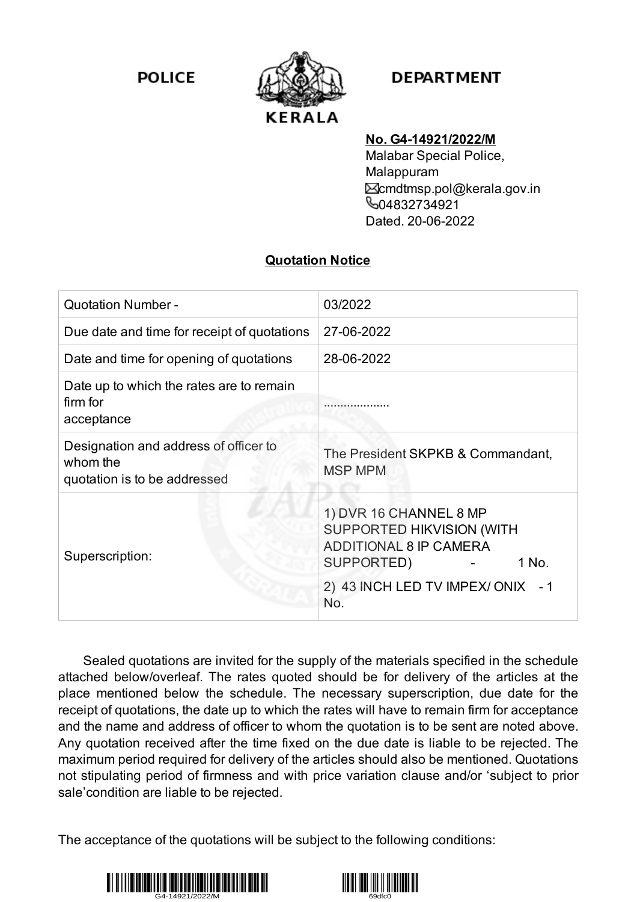**POLICE** 



## **DEPARTMENT**

## **No. G4-14921/2022/M**

Malabar Special Police, Malappuram cmdtmsp.pol@kerala.gov.in **604832734921** Dated. 20-06-2022

## **Quotation Notice**

| <b>Quotation Number -</b>                                                         | 03/2022                                                                                                            |
|-----------------------------------------------------------------------------------|--------------------------------------------------------------------------------------------------------------------|
| Due date and time for receipt of quotations                                       | 27-06-2022                                                                                                         |
| Date and time for opening of quotations                                           | 28-06-2022                                                                                                         |
| Date up to which the rates are to remain<br>firm for<br>acceptance                |                                                                                                                    |
| Designation and address of officer to<br>whom the<br>quotation is to be addressed | The President SKPKB & Commandant,<br><b>MSP MPM</b>                                                                |
| Superscription:                                                                   | 1) DVR 16 CHANNEL 8 MP<br><b>SUPPORTED HIKVISION (WITH</b><br><b>ADDITIONAL 8 IP CAMERA</b><br>SUPPORTED)<br>1 No. |
|                                                                                   | 2) 43 INCH LED TV IMPEX/ONIX - 1<br>No.                                                                            |

Sealed quotations are invited for the supply of the materials specified in the schedule attached below/overleaf. The rates quoted should be for delivery of the articles at the place mentioned below the schedule. The necessary superscription, due date for the receipt of quotations, the date up to which the rates will have to remain firm for acceptance and the name and address of officer to whom the quotation is to be sent are noted above. Any quotation received after the time fixed on the due date is liable to be rejected. The maximum period required for delivery of the articles should also be mentioned. Quotations not stipulating period of firmness and with price variation clause and/or 'subject to prior sale'condition are liable to be rejected.

The acceptance of the quotations will be subject to the following conditions:



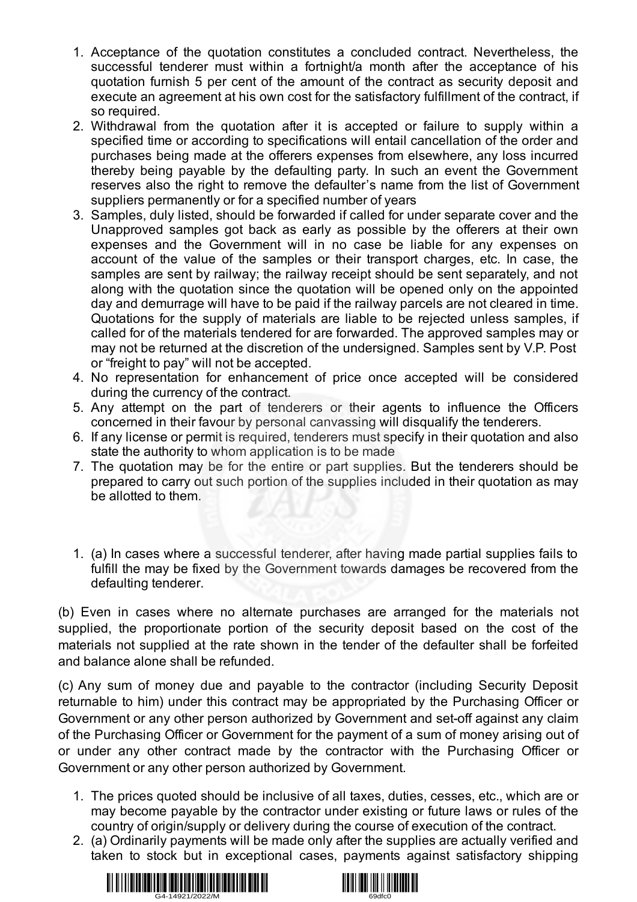- 1. Acceptance of the quotation constitutes a concluded contract. Nevertheless, the successful tenderer must within a fortnight/a month after the acceptance of his quotation furnish 5 per cent of the amount of the contract as security deposit and execute an agreement at his own cost for the satisfactory fulfillment of the contract, if so required.
- 2. Withdrawal from the quotation after it is accepted or failure to supply within a specified time or according to specifications will entail cancellation of the order and purchases being made at the offerers expenses from elsewhere, any loss incurred thereby being payable by the defaulting party. In such an event the Government reserves also the right to remove the defaulter's name from the list of Government suppliers permanently or for a specified number of years
- 3. Samples, duly listed, should be forwarded if called for under separate cover and the Unapproved samples got back as early as possible by the offerers at their own expenses and the Government will in no case be liable for any expenses on account of the value of the samples or their transport charges, etc. In case, the samples are sent by railway; the railway receipt should be sent separately, and not along with the quotation since the quotation will be opened only on the appointed day and demurrage will have to be paid if the railway parcels are not cleared in time. Quotations for the supply of materials are liable to be rejected unless samples, if called for of the materials tendered for are forwarded. The approved samples may or may not be returned at the discretion of the undersigned. Samples sent by V.P. Post or "freight to pay" will not be accepted.
- 4. No representation for enhancement of price once accepted will be considered during the currency of the contract.
- 5. Any attempt on the part of tenderers or their agents to influence the Officers concerned in their favour by personal canvassing will disqualify the tenderers.
- 6. If any license or permit is required, tenderers must specify in their quotation and also state the authority to whom application is to be made
- 7. The quotation may be for the entire or part supplies. But the tenderers should be prepared to carry out such portion of the supplies included in their quotation as may be allotted to them.
- 1. (a) In cases where a successful tenderer, after having made partial supplies fails to fulfill the may be fixed by the Government towards damages be recovered from the defaulting tenderer.

(b) Even in cases where no alternate purchases are arranged for the materials not supplied, the proportionate portion of the security deposit based on the cost of the materials not supplied at the rate shown in the tender of the defaulter shall be forfeited and balance alone shall be refunded.

(c) Any sum of money due and payable to the contractor (including Security Deposit returnable to him) under this contract may be appropriated by the Purchasing Officer or Government or any other person authorized by Government and set-off against any claim of the Purchasing Officer or Government for the payment of a sum of money arising out of or under any other contract made by the contractor with the Purchasing Officer or Government or any other person authorized by Government.

- 1. The prices quoted should be inclusive of all taxes, duties, cesses, etc., which are or may become payable by the contractor under existing or future laws or rules of the country of origin/supply or delivery during the course of execution of the contract.
- 2. (a) Ordinarily payments will be made only after the supplies are actually verified and taken to stock but in exceptional cases, payments against satisfactory shipping